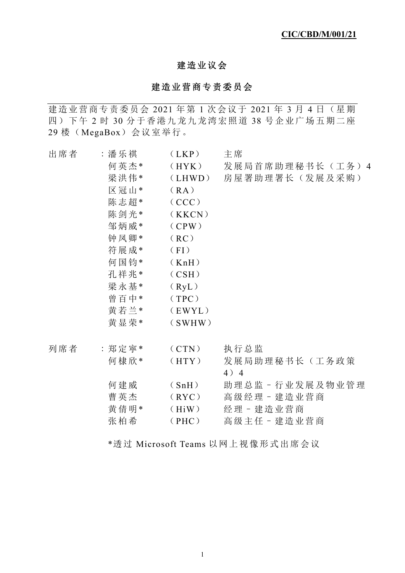# 建造业议会

## 建造业营商专责委员会

建造业营商专责委员会 2021 年第 1 次会议于 2021 年 3 月 4 日 (星期) 四)下午 2 时 30 分于香港九龙九龙湾宏照道 38 号企业广场五期二座 29 楼(MegaBox)会议室举行。

| 出席者 | :潘乐祺<br>何英杰*<br>梁洪伟*<br>区冠山*<br>陈志超*<br>陈剑光*<br>邹炳威*<br>钟凤卿*<br>符展成*<br>何国钧*<br>孔祥兆*<br>梁永基*<br>曾百中*<br>黄若兰* | (LKP)<br>(HYK)<br>(LHWD)<br>(RA)<br>(CCC)<br>(KKCN)<br>(CPW)<br>(RC)<br>(FI)<br>(KnH)<br>(CSH)<br>(RyL)<br>(TPC)<br>(EWYL) | 主席<br>发展局首席助理秘书长(工务)4<br>房屋署助理署长(发展及采购)                      |
|-----|--------------------------------------------------------------------------------------------------------------|----------------------------------------------------------------------------------------------------------------------------|--------------------------------------------------------------|
|     | 黄显荣*                                                                                                         | (SWHW)                                                                                                                     |                                                              |
| 列席者 | :郑定寕*<br>何棣欣*                                                                                                | (CTN)<br>(HTY)                                                                                                             | 执行总监<br>发展局助理秘书长(工务政策<br>$4)$ 4                              |
|     | 何建威<br>曹英杰<br>黄倩明*<br>张柏希                                                                                    | (SnH)<br>(RYC)<br>(HiW)<br>(PHC)                                                                                           | 助理总监-行业发展及物业管理<br>高级经理 - 建造业营商<br>经理 - 建造业营商<br>高级主任 - 建造业营商 |

\*透过 Microsoft Teams 以网上视像形式出席会议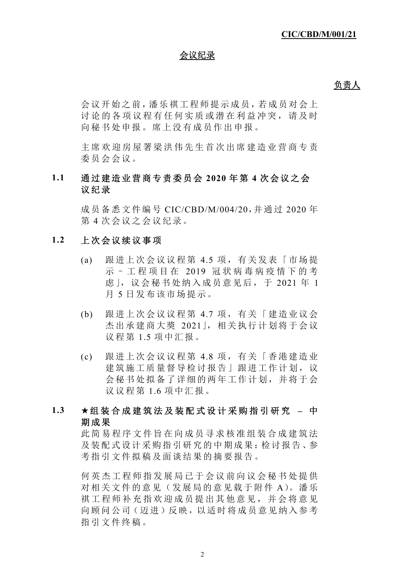### 会议纪录

#### **负责人**

会议开始之前,潘乐祺工程师提示成员,若成员对会上 讨论的各项议程有任何实质或 潜在利益冲突,请及时 向秘书处申报。席上没有成员作出申报。

主席欢迎房屋署梁洪伟先生首 次出席建造业营商专责 委员会会议。

# **1.1** 通过建造业营商专责委员会 **2020** 年第 **4** 次会议之会 议纪录

成员备悉文件编号 CIC/CBD/M/004/20,并通过 2020 年 第 4 次会议之会议纪录。

#### **1.2** 上次会议续议事项

- (a) 跟进上次会议议程第 4.5 项,有关发表「市场提 示–工程项目在 2019 冠状病毒病疫情下的考 虑」,议会秘书处纳入成员意见后,于 2021 年 1 月 5 日发布该市场提示。
- (b) 跟进上次会议议程第 4.7 项,有关「建造业议会 杰出承建商大奬 2021」,相关执行计划将于会议 议程第 1.5 项中汇报。
- (c) 跟进上次会议议程第 4.8 项,有关「香港建造业 建筑施工质量督导检讨报告 | 跟进工作计划, 议 会秘书处拟备了详细的两年工作计划,并将于会 议议程第 1.6 项中汇报。

## **1.3** 组装合成建筑法及装配式设计采购指引研究 **–** 中 期成果

此简易程序文件旨在向成员寻求核准组装合成建筑法 及装配式设计采购指引研究的中期成果:检讨报告、参 考指引文件拟稿及面谈结果的摘要报告。

何英杰工程师指发展局已于会 议前向议会秘书处提供 对相关文件的意见(发展局的意见载于附件 A)。潘乐 祺工程师补充指欢迎成员提出 其他意见,并会将意见 向顾问公司(迈进)反映,以适时将成员意见纳入参考 指引文件终稿。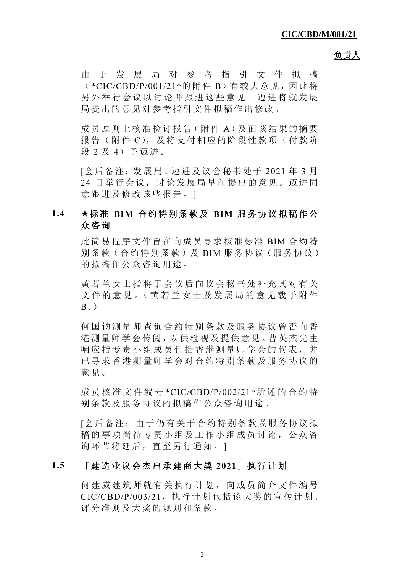由于发展局对参考指引文件拟稿 (\*CIC/CBD/P/001/21\*的附件 B)有较大意见,因此将 另外举行会议以讨论并跟进这些意见。迈进将就发展 局提出的意见对参考指引文件拟稿作出修改。

成员原则上核准检讨报告(附件 A)及面谈结果的摘要 报告(附件 C), 及将支付相应的阶段性款项(付款阶 段 2 及 4)予迈讲。

[会后备注:发展局、迈进及议会秘书处于 2021 年 3 月 24 日举行会议,讨论发展局早前提出的意见。迈进同 意跟进及修改该些报告。]

# **1.4** 标准 **BIM** 合约特别条款及 **BIM** 服务协议拟稿作公 众咨询

此简易程序文件旨在向成员寻求核准标准 BIM 合约特 别条款(合约特别条款)及 BIM 服务协议(服务协议) 的拟稿作公众咨询用途。

黄若兰女士指将于会议后向议会秘书处补充其对有关 文件的意见。(黄若兰女士及发展局的意见载于附件  $B<sub>o</sub>$ )

何国钧测量师查询合约特别条 款及服务协议曾否向香 港测量师学会传阅,以供检视及提供意见。曹英杰先生 响应指专责小组成员包括香港测量师学会的代表,并 己寻求香港测量师学会对合约特别条款及服务协议的 意见。

成员核准文件编号 \*CIC/CBD/P/002/21\*所述的合约特 别条款及服务协议的拟稿作公众咨询用途。

[会后备注:由于仍有关于合约特别条款及服务协议拟 稿的事项尚待专责小组及工作小组成员讨论,公众咨 询环节将延后,直至另行通知。]

## **1.5** 「建造业议会杰出承建商大奬 **2021**」执行计划

何建威建筑师就有关执行计划,向成员简介文件编号  $CIC/CBD/P/003/21$ , 执行计划包括该大奖的宣传计划、 评分准则及大奖的规则和条款。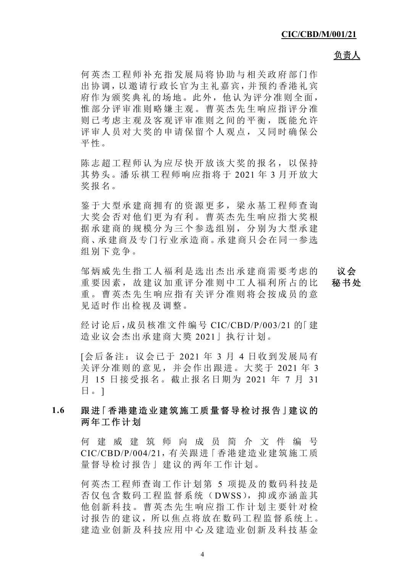何英杰工程师补充指发展局将 协助与相关政府部门作 出协调,以邀请行政长官为主礼嘉宾,并预约香港礼宾 府作为颁奖典礼的场地。此外,他认为评分准则全面, 惟部分评审准则略嫌主观。曹 英杰先生响应指评分准 则已考虑主观及客观评审准则之间的平衡,既能允许 评审人员对大奖的申请保留个 人观点,又同时确保公 平性。

陈志超工程师认为应尽快开放 该大奖的报名,以保持 其势头。潘乐祺工程师响应指将于 2021 年 3 月开放大 奖报名。

鉴于大型承建商拥有的资源更 多,梁永基工程师查询 大奖会否对他们更为有利。曹英杰先生响应指大奖根 据承建商的规模分为三个参选组别,分别为大型承建 商、承建商及专门行业承造商。承建商只会在同一参选 组别下竞争。

邹炳威先生指工人福利是选出杰出承建商需要考虑的 重要因素,故建议加重评分准则中工人福利所占的比 重。曹英杰先生响应指有关评分准则将会按成员的意 见适时作出检视及调整。 议会 秘书处

经讨论后,成员核准文件编号 CIC/CBD/P/003/21 的「建 造业议会杰出承建商大奬 2021」执行计划。

[会后备注:议会已于 2021 年 3 月 4 日收到发展局有 关评分准则的意见,并会作出跟进。大奖于 2021 年 3 月 15 日接受报名。截止报名日期为 2021 年 7 月 31 日。]

## **1.6** 跟进「香港建造业建筑施工质量督导检讨报告」建议的 两年工作计划

何建威建筑师向成员简介文件编号 CIC/CBD/P/004/21,有关跟进「香港建造业建筑施工质 量督导检讨报告」建议的两年工作计划。

何英杰工程师查询工作计划第 5 项提及的数码科技是 否仅包含数码工程监督系统(DWSS),抑或亦涵盖其 他创新科技。曹英杰先生响应 指工作计划主要针对检 讨报告的建议,所以焦点将放在数码工程监督系统上。 建造业创新及科技及科技基金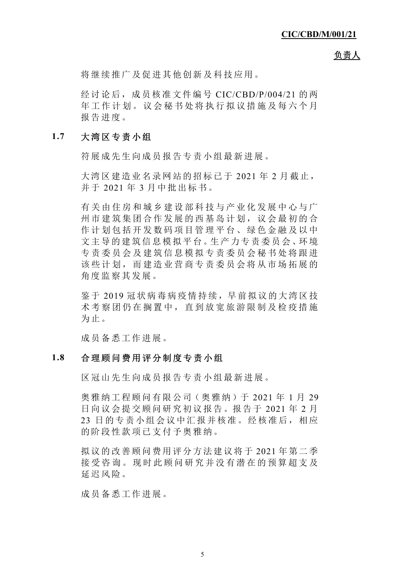将继续推广及促进其他创新及科技应用。

经讨论后,成员核准文件编号 CIC/CBD/P/004/21 的两 年工作计划。议会秘书处将执行拟议措施及每六个月 报告进度。

#### **1.7** 大湾区专责小组

符展成先生向成员报告专责小组最新进展。

大湾区建造业名录网站的招标已于 2021 年 2 月截止, 并于 2021 年 3 月中批出标书。

有关由住房和城乡建设部科技与产业化发展中心与广 州市建筑集团合作发展的西基 岛计划,议会最初的合 作计划包括开发数码项目管理平台、绿色金融及以中 文主导的建筑信息模拟平台。生产力专责委员会、环境 专责委员会及建筑信息模拟专 责委员会秘书处将跟进 该些计划,而建造业营商专责委员会将从市场拓展的 角度监察其发展。

鉴于 2019 冠状病毒病疫情持续,早前拟议的大湾区技 术考察团仍在搁置中,直到放 宽旅游限制及检疫措施 为止。

成员备悉工作进展。

#### **1.8** 合理顾问费用评分制度专责小组

区冠山先生向成员报告专责小组最新进展。

奥雅纳工程顾问有限公司(奥雅纳)于 2021 年 1 月 29 日向议会提交顾问研究初议报告。报告于 2021 年 2 月 23 日的专责小组会议中汇报并核准。经核准后,相应 的阶段性款项已支付予奥雅纳。

拟议的改善顾问费用评分方法建议将于 2021 年第二季 接受咨询。现时此顾问研究并没有潜在的预算超支及 延迟风险。

成员备悉工作进展。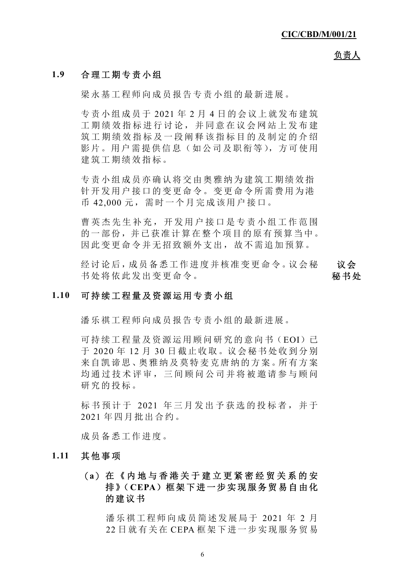## **1.9** 合理工期专责小组

梁永基工程师向成员报告专责小组的最新进展。

专责小组成员于 2021 年 2 月 4 日的会议上就发布建筑 工期绩效指标进行讨论,并同 意在议会网站上发布建 筑工期绩效指标及一段阐释该指标目的及制定的介绍 影片。用户需提供信息(如公司及职衔等),方可使用 建筑工期绩效指标。

专责小组成员亦确认将交由奥雅纳为建筑工期绩效指 针开发用户接口的变更命令。变更命令所需费用为港 币 42,000 元,需时一个月完成该用户接口。

曹英杰先生补充,开发用户接 口是专责小组工作范围 的一部份,并已获准计算在整个项目的原有预算当中。 因此变更命令并无招致额外支出,故不需追加预算。

经讨论后,成员备悉工作进度并核准变更命令。议会秘 书处将依此发出变更命令。

### 议会 秘书处

#### **1.10** 可持续工程量及资源运用专责小组

潘乐祺工程师向成员报告专责小组的最新进展。

可持续工程量及资源运用顾问研究的意向书(EOI)已 于 2020 年 12 月 30 日截止收取。议会秘书处收到分别 来自凯谛思、奥雅纳及莫特麦克唐纳的方案。所有方案 均通过技术评审,三间顾问公 司并将被邀请参与顾问 研究的投标。

标书预计于 2021 年三月发出予获选的投标者,并于 2021 年四月批出合约。

成员备悉工作进度。

#### **1.11** 其他事项

# (**a**) 在《内地与香港关于建立更 紧密经贸关系的安 排》(**CEPA**)框架下进一步实现服务贸易自由化 的建议书

潘乐祺工程师向成员简述发展局于 2021 年 2 月 22 日就有关在 CEPA 框架下进一步实现服务贸易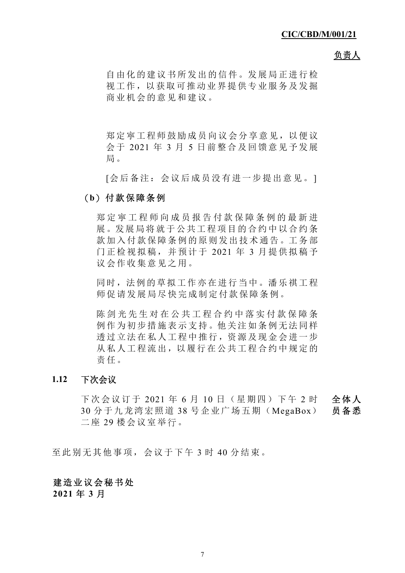自由化的建议书所发出的信件。发展局正进行检 视工作,以获取可推动业界提供专业服务及发掘 商业机会的意见和建议。

郑定寕工程师鼓励成员向议会分享意见,以便议 会于 2021 年 3 月 5 日前整合及回馈意见予发展 局。

[会后备注:会议后成员没有进一步提出意见。]

### (**b**) 付款保障条例

郑定寕工程师向成员报告付 款保障条例的最新进 展。发展局将就于公共工程项目的合约中以合约条 款加入付款保障条例的原则发出技术通告。工务部 门正检视拟稿,并预计于 2021 年 3 月提供拟稿予 议会作收集意见之用。

同时,法例的草拟工作亦在进行当中。潘乐祺工程 师促请发展局尽快完成制定付款保障条例。

陈剑光先生对在公共工程合约中落实付款保障条 例作为初步措施表示支持。他关注如条例无法同样 透过立法在私人工程中推行,资源及现金会进一步 从私人工程流出,以履行在公共工程合约中规定的 责任。

### **1.12** 下次会议

下次会议订于 2021 年 6 月 10 日 (星期四) 下午 2 时 全体人 30 分于九龙湾宏照道 38 号企业广场五期(MegaBox) 二座 29 楼会议室举行。 员备悉

至此别无其他事项,会议于下午 3 时 40 分结束。

### 建造业议会秘书处

**2021** 年 **3** 月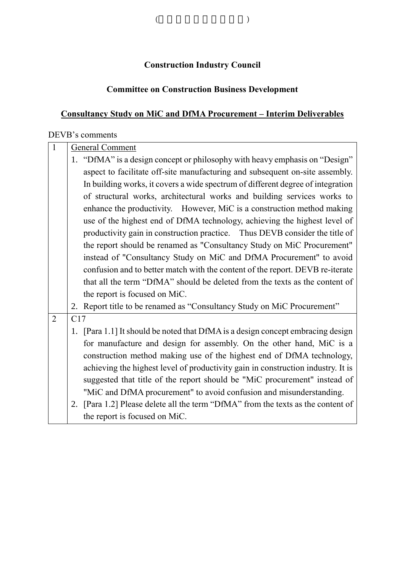# **Construction Industry Council**

(and  $($ 

# **Committee on Construction Business Development**

# **Consultancy Study on MiC and DfMA Procurement – Interim Deliverables**

# DEVB's comments

| $\mathbf{1}$   |                                                                             | <b>General Comment</b>                                                           |  |  |
|----------------|-----------------------------------------------------------------------------|----------------------------------------------------------------------------------|--|--|
|                |                                                                             | 1. "DfMA" is a design concept or philosophy with heavy emphasis on "Design"      |  |  |
|                |                                                                             | aspect to facilitate off-site manufacturing and subsequent on-site assembly.     |  |  |
|                |                                                                             | In building works, it covers a wide spectrum of different degree of integration  |  |  |
|                |                                                                             | of structural works, architectural works and building services works to          |  |  |
|                |                                                                             | enhance the productivity. However, MiC is a construction method making           |  |  |
|                |                                                                             | use of the highest end of DfMA technology, achieving the highest level of        |  |  |
|                | productivity gain in construction practice. Thus DEVB consider the title of |                                                                                  |  |  |
|                | the report should be renamed as "Consultancy Study on MiC Procurement"      |                                                                                  |  |  |
|                |                                                                             | instead of "Consultancy Study on MiC and DfMA Procurement" to avoid              |  |  |
|                |                                                                             | confusion and to better match with the content of the report. DEVB re-iterate    |  |  |
|                |                                                                             | that all the term "DfMA" should be deleted from the texts as the content of      |  |  |
|                |                                                                             | the report is focused on MiC.                                                    |  |  |
|                |                                                                             | 2. Report title to be renamed as "Consultancy Study on MiC Procurement"          |  |  |
| $\overline{2}$ | C17                                                                         |                                                                                  |  |  |
|                |                                                                             | 1. [Para 1.1] It should be noted that DfMA is a design concept embracing design  |  |  |
|                |                                                                             | for manufacture and design for assembly. On the other hand, MiC is a             |  |  |
|                |                                                                             | construction method making use of the highest end of DfMA technology,            |  |  |
|                |                                                                             | achieving the highest level of productivity gain in construction industry. It is |  |  |
|                |                                                                             | suggested that title of the report should be "MiC procurement" instead of        |  |  |
|                |                                                                             | "MiC and DfMA procurement" to avoid confusion and misunderstanding.              |  |  |
|                | 2.                                                                          | [Para 1.2] Please delete all the term "DfMA" from the texts as the content of    |  |  |
|                |                                                                             | the report is focused on MiC.                                                    |  |  |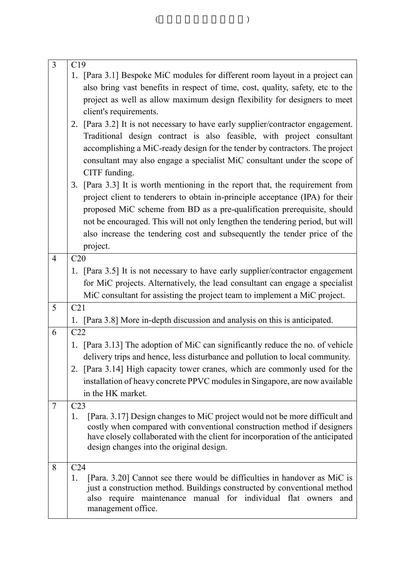| $\overline{3}$ | C19<br>1. [Para 3.1] Bespoke MiC modules for different room layout in a project can<br>also bring vast benefits in respect of time, cost, quality, safety, etc to the<br>project as well as allow maximum design flexibility for designers to meet<br>client's requirements.<br>2. [Para 3.2] It is not necessary to have early supplier/contractor engagement.<br>Traditional design contract is also feasible, with project consultant<br>accomplishing a MiC-ready design for the tender by contractors. The project<br>consultant may also engage a specialist MiC consultant under the scope of<br>CITF funding.<br>3. [Para 3.3] It is worth mentioning in the report that, the requirement from<br>project client to tenderers to obtain in-principle acceptance (IPA) for their<br>proposed MiC scheme from BD as a pre-qualification prerequisite, should<br>not be encouraged. This will not only lengthen the tendering period, but will |
|----------------|-----------------------------------------------------------------------------------------------------------------------------------------------------------------------------------------------------------------------------------------------------------------------------------------------------------------------------------------------------------------------------------------------------------------------------------------------------------------------------------------------------------------------------------------------------------------------------------------------------------------------------------------------------------------------------------------------------------------------------------------------------------------------------------------------------------------------------------------------------------------------------------------------------------------------------------------------------|
|                | also increase the tendering cost and subsequently the tender price of the<br>project.                                                                                                                                                                                                                                                                                                                                                                                                                                                                                                                                                                                                                                                                                                                                                                                                                                                               |
| $\overline{4}$ | C20                                                                                                                                                                                                                                                                                                                                                                                                                                                                                                                                                                                                                                                                                                                                                                                                                                                                                                                                                 |
|                | 1. [Para 3.5] It is not necessary to have early supplier/contractor engagement                                                                                                                                                                                                                                                                                                                                                                                                                                                                                                                                                                                                                                                                                                                                                                                                                                                                      |
|                | for MiC projects. Alternatively, the lead consultant can engage a specialist                                                                                                                                                                                                                                                                                                                                                                                                                                                                                                                                                                                                                                                                                                                                                                                                                                                                        |
|                | MiC consultant for assisting the project team to implement a MiC project.                                                                                                                                                                                                                                                                                                                                                                                                                                                                                                                                                                                                                                                                                                                                                                                                                                                                           |
| 5              | C21                                                                                                                                                                                                                                                                                                                                                                                                                                                                                                                                                                                                                                                                                                                                                                                                                                                                                                                                                 |
|                | 1. [Para 3.8] More in-depth discussion and analysis on this is anticipated.                                                                                                                                                                                                                                                                                                                                                                                                                                                                                                                                                                                                                                                                                                                                                                                                                                                                         |
| 6              | C22                                                                                                                                                                                                                                                                                                                                                                                                                                                                                                                                                                                                                                                                                                                                                                                                                                                                                                                                                 |
|                | 1. [Para 3.13] The adoption of MiC can significantly reduce the no. of vehicle<br>delivery trips and hence, less disturbance and pollution to local community.<br>2. [Para 3.14] High capacity tower cranes, which are commonly used for the                                                                                                                                                                                                                                                                                                                                                                                                                                                                                                                                                                                                                                                                                                        |
|                | installation of heavy concrete PPVC modules in Singapore, are now available<br>in the HK market.                                                                                                                                                                                                                                                                                                                                                                                                                                                                                                                                                                                                                                                                                                                                                                                                                                                    |
| $\overline{7}$ | C23                                                                                                                                                                                                                                                                                                                                                                                                                                                                                                                                                                                                                                                                                                                                                                                                                                                                                                                                                 |
|                | [Para. 3.17] Design changes to MiC project would not be more difficult and<br>1.<br>costly when compared with conventional construction method if designers<br>have closely collaborated with the client for incorporation of the anticipated<br>design changes into the original design.                                                                                                                                                                                                                                                                                                                                                                                                                                                                                                                                                                                                                                                           |
| 8              | C <sub>24</sub><br>[Para. 3.20] Cannot see there would be difficulties in handover as MiC is<br>1.<br>just a construction method. Buildings constructed by conventional method<br>also require maintenance manual for individual flat owners<br>and<br>management office.                                                                                                                                                                                                                                                                                                                                                                                                                                                                                                                                                                                                                                                                           |

( ) and (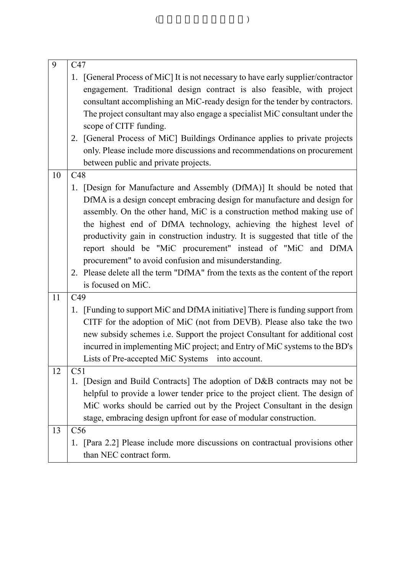| 9  | C47                                                                                |
|----|------------------------------------------------------------------------------------|
|    | 1. [General Process of MiC] It is not necessary to have early supplier/contractor  |
|    | engagement. Traditional design contract is also feasible, with project             |
|    | consultant accomplishing an MiC-ready design for the tender by contractors.        |
|    | The project consultant may also engage a specialist MiC consultant under the       |
|    | scope of CITF funding.                                                             |
|    | 2. [General Process of MiC] Buildings Ordinance applies to private projects        |
|    | only. Please include more discussions and recommendations on procurement           |
|    | between public and private projects.                                               |
| 10 | C48                                                                                |
|    | [Design for Manufacture and Assembly (DfMA)] It should be noted that<br>1.         |
|    | DfMA is a design concept embracing design for manufacture and design for           |
|    | assembly. On the other hand, MiC is a construction method making use of            |
|    | the highest end of DfMA technology, achieving the highest level of                 |
|    | productivity gain in construction industry. It is suggested that title of the      |
|    | report should be "MiC procurement" instead of "MiC and DfMA                        |
|    | procurement" to avoid confusion and misunderstanding.                              |
|    | 2. Please delete all the term "DfMA" from the texts as the content of the report   |
|    | is focused on MiC.                                                                 |
| 11 | C49                                                                                |
|    | 1. [Funding to support MiC and DfMA initiative] There is funding support from      |
|    | CITF for the adoption of MiC (not from DEVB). Please also take the two             |
|    |                                                                                    |
|    | new subsidy schemes i.e. Support the project Consultant for additional cost        |
|    | incurred in implementing MiC project; and Entry of MiC systems to the BD's         |
|    | Lists of Pre-accepted MiC Systems into account.                                    |
| 12 | C51<br>[Design and Build Contracts] The adoption of D&B contracts may not be<br>1. |
|    | helpful to provide a lower tender price to the project client. The design of       |
|    |                                                                                    |
|    | MiC works should be carried out by the Project Consultant in the design            |
|    | stage, embracing design upfront for ease of modular construction.                  |
| 13 | C56                                                                                |
|    | [Para 2.2] Please include more discussions on contractual provisions other<br>1.   |
|    | than NEC contract form.                                                            |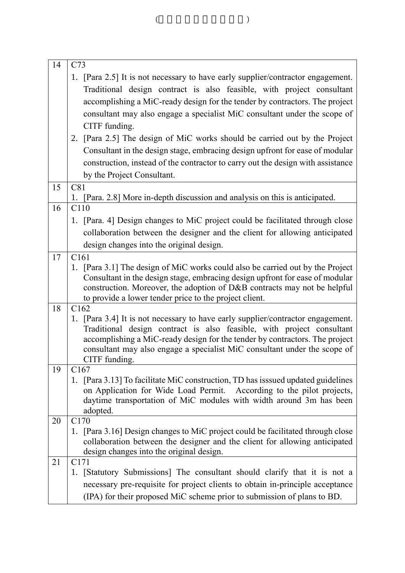| 14 | C73                                                                                                                                                      |
|----|----------------------------------------------------------------------------------------------------------------------------------------------------------|
|    | 1. [Para 2.5] It is not necessary to have early supplier/contractor engagement.                                                                          |
|    | Traditional design contract is also feasible, with project consultant                                                                                    |
|    | accomplishing a MiC-ready design for the tender by contractors. The project                                                                              |
|    | consultant may also engage a specialist MiC consultant under the scope of                                                                                |
|    | CITF funding.                                                                                                                                            |
|    | 2. [Para 2.5] The design of MiC works should be carried out by the Project                                                                               |
|    | Consultant in the design stage, embracing design upfront for ease of modular                                                                             |
|    | construction, instead of the contractor to carry out the design with assistance                                                                          |
|    | by the Project Consultant.                                                                                                                               |
| 15 | C81                                                                                                                                                      |
|    | 1. [Para. 2.8] More in-depth discussion and analysis on this is anticipated.                                                                             |
| 16 | C110                                                                                                                                                     |
|    | 1. [Para. 4] Design changes to MiC project could be facilitated through close                                                                            |
|    | collaboration between the designer and the client for allowing anticipated                                                                               |
|    | design changes into the original design.                                                                                                                 |
| 17 | C161                                                                                                                                                     |
|    | 1. [Para 3.1] The design of MiC works could also be carried out by the Project                                                                           |
|    | Consultant in the design stage, embracing design upfront for ease of modular                                                                             |
|    | construction. Moreover, the adoption of D&B contracts may not be helpful                                                                                 |
|    | to provide a lower tender price to the project client.                                                                                                   |
| 18 | C162                                                                                                                                                     |
|    | 1. [Para 3.4] It is not necessary to have early supplier/contractor engagement.<br>Traditional design contract is also feasible, with project consultant |
|    | accomplishing a MiC-ready design for the tender by contractors. The project                                                                              |
|    | consultant may also engage a specialist MiC consultant under the scope of                                                                                |
|    | CITF funding.                                                                                                                                            |
| 19 | C <sub>167</sub>                                                                                                                                         |
|    | 1. [Para 3.13] To facilitate MiC construction, TD has isssued updated guidelines                                                                         |
|    | on Application for Wide Load Permit. According to the pilot projects,<br>daytime transportation of MiC modules with width around 3m has been             |
|    | adopted.                                                                                                                                                 |
| 20 | C <sub>170</sub>                                                                                                                                         |
|    | 1. [Para 3.16] Design changes to MiC project could be facilitated through close                                                                          |
|    | collaboration between the designer and the client for allowing anticipated                                                                               |
|    | design changes into the original design.                                                                                                                 |
| 21 | C <sub>171</sub>                                                                                                                                         |
|    | 1. [Statutory Submissions] The consultant should clarify that it is not a                                                                                |
|    | necessary pre-requisite for project clients to obtain in-principle acceptance                                                                            |
|    | (IPA) for their proposed MiC scheme prior to submission of plans to BD.                                                                                  |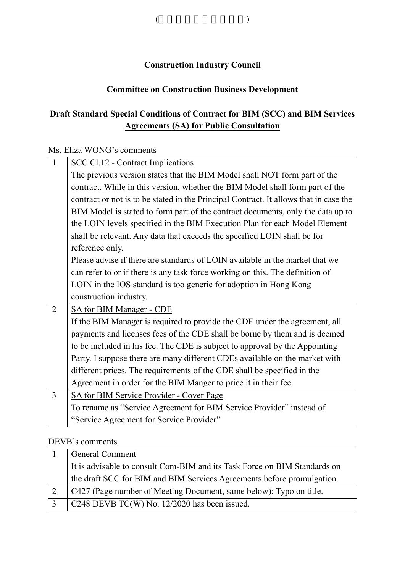# **Construction Industry Council**

(and  $($ 

# **Committee on Construction Business Development**

# **Draft Standard Special Conditions of Contract for BIM (SCC) and BIM Services Agreements (SA) for Public Consultation**

### Ms. Eliza WONG's comments

| $\overline{1}$ | <b>SCC Cl.12 - Contract Implications</b>                                              |
|----------------|---------------------------------------------------------------------------------------|
|                | The previous version states that the BIM Model shall NOT form part of the             |
|                | contract. While in this version, whether the BIM Model shall form part of the         |
|                | contract or not is to be stated in the Principal Contract. It allows that in case the |
|                | BIM Model is stated to form part of the contract documents, only the data up to       |
|                | the LOIN levels specified in the BIM Execution Plan for each Model Element            |
|                | shall be relevant. Any data that exceeds the specified LOIN shall be for              |
|                | reference only.                                                                       |
|                | Please advise if there are standards of LOIN available in the market that we          |
|                | can refer to or if there is any task force working on this. The definition of         |
|                | LOIN in the IOS standard is too generic for adoption in Hong Kong                     |
|                | construction industry.                                                                |
| $\overline{2}$ | SA for BIM Manager - CDE                                                              |
|                | If the BIM Manager is required to provide the CDE under the agreement, all            |
|                | payments and licenses fees of the CDE shall be borne by them and is deemed            |
|                | to be included in his fee. The CDE is subject to approval by the Appointing           |
|                | Party. I suppose there are many different CDEs available on the market with           |
|                | different prices. The requirements of the CDE shall be specified in the               |
|                | Agreement in order for the BIM Manger to price it in their fee.                       |
| $\overline{3}$ | SA for BIM Service Provider - Cover Page                                              |
|                | To rename as "Service Agreement for BIM Service Provider" instead of                  |
|                | "Service Agreement for Service Provider"                                              |

## DEVB's comments

|              | <b>General Comment</b>                                                    |
|--------------|---------------------------------------------------------------------------|
|              | It is advisable to consult Com-BIM and its Task Force on BIM Standards on |
|              | the draft SCC for BIM and BIM Services Agreements before promulgation.    |
|              | C427 (Page number of Meeting Document, same below): Typo on title.        |
| $\mathbf{R}$ | C248 DEVB TC(W) No. $12/2020$ has been issued.                            |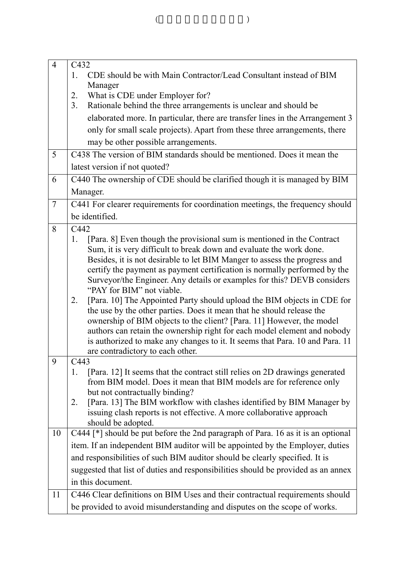| $\overline{4}$ | C432<br>CDE should be with Main Contractor/Lead Consultant instead of BIM<br>1.<br>Manager<br>2.<br>What is CDE under Employer for?                                                                                                                                                                                                                                                                                             |
|----------------|---------------------------------------------------------------------------------------------------------------------------------------------------------------------------------------------------------------------------------------------------------------------------------------------------------------------------------------------------------------------------------------------------------------------------------|
|                | Rationale behind the three arrangements is unclear and should be<br>3.                                                                                                                                                                                                                                                                                                                                                          |
|                | elaborated more. In particular, there are transfer lines in the Arrangement 3                                                                                                                                                                                                                                                                                                                                                   |
|                | only for small scale projects). Apart from these three arrangements, there                                                                                                                                                                                                                                                                                                                                                      |
|                | may be other possible arrangements.                                                                                                                                                                                                                                                                                                                                                                                             |
| 5              | C438 The version of BIM standards should be mentioned. Does it mean the                                                                                                                                                                                                                                                                                                                                                         |
|                | latest version if not quoted?                                                                                                                                                                                                                                                                                                                                                                                                   |
| 6              | C440 The ownership of CDE should be clarified though it is managed by BIM                                                                                                                                                                                                                                                                                                                                                       |
|                | Manager.                                                                                                                                                                                                                                                                                                                                                                                                                        |
| $\overline{7}$ | C441 For clearer requirements for coordination meetings, the frequency should                                                                                                                                                                                                                                                                                                                                                   |
|                | be identified.                                                                                                                                                                                                                                                                                                                                                                                                                  |
| 8              | C442                                                                                                                                                                                                                                                                                                                                                                                                                            |
|                | [Para. 8] Even though the provisional sum is mentioned in the Contract<br>1.<br>Sum, it is very difficult to break down and evaluate the work done.<br>Besides, it is not desirable to let BIM Manger to assess the progress and<br>certify the payment as payment certification is normally performed by the<br>Surveyor/the Engineer. Any details or examples for this? DEVB considers<br>"PAY for BIM" not viable.           |
|                | [Para. 10] The Appointed Party should upload the BIM objects in CDE for<br>2.<br>the use by the other parties. Does it mean that he should release the<br>ownership of BIM objects to the client? [Para. 11] However, the model<br>authors can retain the ownership right for each model element and nobody<br>is authorized to make any changes to it. It seems that Para. 10 and Para. 11<br>are contradictory to each other. |
| 9              | C443                                                                                                                                                                                                                                                                                                                                                                                                                            |
|                | [Para. 12] It seems that the contract still relies on 2D drawings generated<br>1.<br>from BIM model. Does it mean that BIM models are for reference only<br>but not contractually binding?<br>[Para. 13] The BIM workflow with clashes identified by BIM Manager by<br>2.<br>issuing clash reports is not effective. A more collaborative approach                                                                              |
|                | should be adopted.                                                                                                                                                                                                                                                                                                                                                                                                              |
| 10             | C444 [*] should be put before the 2nd paragraph of Para. 16 as it is an optional                                                                                                                                                                                                                                                                                                                                                |
|                | item. If an independent BIM auditor will be appointed by the Employer, duties                                                                                                                                                                                                                                                                                                                                                   |
|                | and responsibilities of such BIM auditor should be clearly specified. It is                                                                                                                                                                                                                                                                                                                                                     |
|                | suggested that list of duties and responsibilities should be provided as an annex                                                                                                                                                                                                                                                                                                                                               |
|                | in this document.                                                                                                                                                                                                                                                                                                                                                                                                               |
| 11             | C446 Clear definitions on BIM Uses and their contractual requirements should                                                                                                                                                                                                                                                                                                                                                    |
|                | be provided to avoid misunderstanding and disputes on the scope of works.                                                                                                                                                                                                                                                                                                                                                       |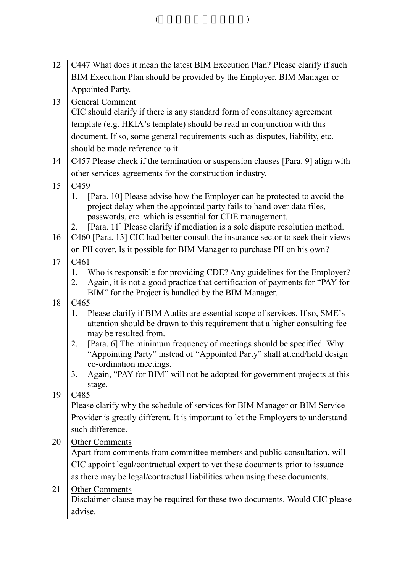| 12 | C447 What does it mean the latest BIM Execution Plan? Please clarify if such                                                                                         |
|----|----------------------------------------------------------------------------------------------------------------------------------------------------------------------|
|    | BIM Execution Plan should be provided by the Employer, BIM Manager or                                                                                                |
|    | Appointed Party.                                                                                                                                                     |
| 13 | <b>General Comment</b>                                                                                                                                               |
|    | CIC should clarify if there is any standard form of consultancy agreement                                                                                            |
|    | template (e.g. HKIA's template) should be read in conjunction with this                                                                                              |
|    | document. If so, some general requirements such as disputes, liability, etc.                                                                                         |
|    | should be made reference to it.                                                                                                                                      |
| 14 | C457 Please check if the termination or suspension clauses [Para. 9] align with                                                                                      |
|    | other services agreements for the construction industry.                                                                                                             |
| 15 | C459                                                                                                                                                                 |
|    | [Para. 10] Please advise how the Employer can be protected to avoid the<br>1.                                                                                        |
|    | project delay when the appointed party fails to hand over data files,                                                                                                |
|    | passwords, etc. which is essential for CDE management.                                                                                                               |
| 16 | [Para. 11] Please clarify if mediation is a sole dispute resolution method.<br>2.<br>C460 [Para. 13] CIC had better consult the insurance sector to seek their views |
|    |                                                                                                                                                                      |
|    | on PII cover. Is it possible for BIM Manager to purchase PII on his own?                                                                                             |
| 17 | C <sub>461</sub><br>Who is responsible for providing CDE? Any guidelines for the Employer?<br>1.                                                                     |
|    | Again, it is not a good practice that certification of payments for "PAY for<br>2.                                                                                   |
|    | BIM" for the Project is handled by the BIM Manager.                                                                                                                  |
| 18 | C <sub>465</sub>                                                                                                                                                     |
|    | Please clarify if BIM Audits are essential scope of services. If so, SME's<br>1.                                                                                     |
|    | attention should be drawn to this requirement that a higher consulting fee                                                                                           |
|    | may be resulted from.                                                                                                                                                |
|    | [Para. 6] The minimum frequency of meetings should be specified. Why<br>2.<br>"Appointing Party" instead of "Appointed Party" shall attend/hold design               |
|    | co-ordination meetings.                                                                                                                                              |
|    | Again, "PAY for BIM" will not be adopted for government projects at this<br>3.                                                                                       |
|    | stage.                                                                                                                                                               |
| 19 | C485                                                                                                                                                                 |
|    | Please clarify why the schedule of services for BIM Manager or BIM Service                                                                                           |
|    | Provider is greatly different. It is important to let the Employers to understand                                                                                    |
|    | such difference.                                                                                                                                                     |
| 20 | <b>Other Comments</b>                                                                                                                                                |
|    | Apart from comments from committee members and public consultation, will                                                                                             |
|    | CIC appoint legal/contractual expert to vet these documents prior to issuance                                                                                        |
|    | as there may be legal/contractual liabilities when using these documents.                                                                                            |
| 21 | <b>Other Comments</b>                                                                                                                                                |
|    | Disclaimer clause may be required for these two documents. Would CIC please                                                                                          |
|    | advise.                                                                                                                                                              |